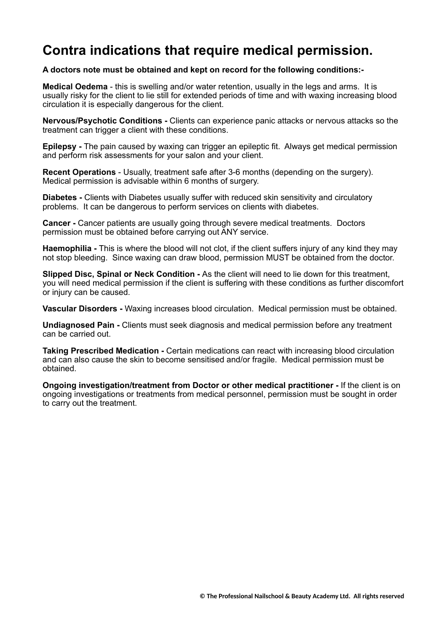## **Contra indications that require medical permission.**

#### **A doctors note must be obtained and kept on record for the following conditions:-**

**Medical Oedema** - this is swelling and/or water retention, usually in the legs and arms. It is usually risky for the client to lie still for extended periods of time and with waxing increasing blood circulation it is especially dangerous for the client.

**Nervous/Psychotic Conditions -** Clients can experience panic attacks or nervous attacks so the treatment can trigger a client with these conditions.

**Epilepsy -** The pain caused by waxing can trigger an epileptic fit. Always get medical permission and perform risk assessments for your salon and your client.

**Recent Operations** - Usually, treatment safe after 3-6 months (depending on the surgery). Medical permission is advisable within 6 months of surgery.

**Diabetes -** Clients with Diabetes usually suffer with reduced skin sensitivity and circulatory problems. It can be dangerous to perform services on clients with diabetes.

**Cancer -** Cancer patients are usually going through severe medical treatments. Doctors permission must be obtained before carrying out ANY service.

**Haemophilia -** This is where the blood will not clot, if the client suffers injury of any kind they may not stop bleeding. Since waxing can draw blood, permission MUST be obtained from the doctor.

**Slipped Disc, Spinal or Neck Condition -** As the client will need to lie down for this treatment, you will need medical permission if the client is suffering with these conditions as further discomfort or injury can be caused.

**Vascular Disorders -** Waxing increases blood circulation. Medical permission must be obtained.

**Undiagnosed Pain -** Clients must seek diagnosis and medical permission before any treatment can be carried out.

**Taking Prescribed Medication -** Certain medications can react with increasing blood circulation and can also cause the skin to become sensitised and/or fragile. Medical permission must be obtained.

**Ongoing investigation/treatment from Doctor or other medical practitioner -** If the client is on ongoing investigations or treatments from medical personnel, permission must be sought in order to carry out the treatment.